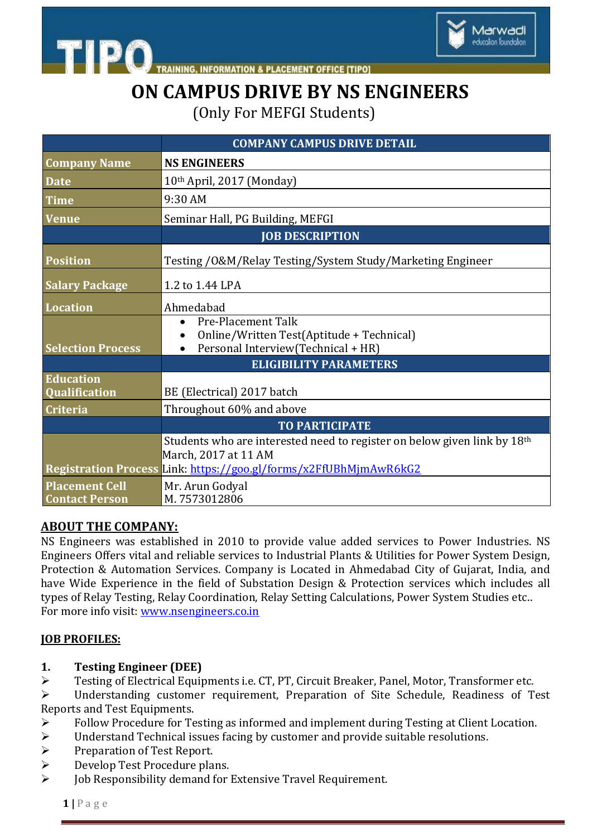

**PLACEMENT OFFICE [TIPO]** 

# **ON CAMPUS DRIVE BY NS ENGINEERS**

(Only For MEFGI Students)

|                                                | <b>COMPANY CAMPUS DRIVE DETAIL</b>                                                                                                                                                |
|------------------------------------------------|-----------------------------------------------------------------------------------------------------------------------------------------------------------------------------------|
| <b>Company Name</b>                            | <b>NS ENGINEERS</b>                                                                                                                                                               |
| <b>Date</b>                                    | 10th April, 2017 (Monday)                                                                                                                                                         |
| <b>Time</b>                                    | 9:30 AM                                                                                                                                                                           |
| <b>Venue</b>                                   | Seminar Hall, PG Building, MEFGI                                                                                                                                                  |
|                                                | <b>JOB DESCRIPTION</b>                                                                                                                                                            |
| <b>Position</b>                                | Testing / 0& M/Relay Testing/System Study/Marketing Engineer                                                                                                                      |
| <b>Salary Package</b>                          | 1.2 to 1.44 LPA                                                                                                                                                                   |
| Location                                       | Ahmedabad                                                                                                                                                                         |
| <b>Selection Process</b>                       | <b>Pre-Placement Talk</b><br>Online/Written Test(Aptitude + Technical)<br>Personal Interview(Technical + HR)                                                                      |
|                                                | <b>ELIGIBILITY PARAMETERS</b>                                                                                                                                                     |
| <b>Education</b><br>Qualification              | BE (Electrical) 2017 batch                                                                                                                                                        |
| <b>Criteria</b>                                | Throughout 60% and above                                                                                                                                                          |
|                                                | <b>TO PARTICIPATE</b>                                                                                                                                                             |
|                                                | Students who are interested need to register on below given link by 18 <sup>th</sup><br>March, 2017 at 11 AM<br>Registration Process Link: https://goo.gl/forms/x2FfUBhMjmAwR6kG2 |
| <b>Placement Cell</b><br><b>Contact Person</b> | Mr. Arun Godyal<br>M.7573012806                                                                                                                                                   |

### **ABOUT THE COMPANY:**

**TIPO** 

NS Engineers was established in 2010 to provide value added services to Power Industries. NS Engineers Offers vital and reliable services to Industrial Plants & Utilities for Power System Design, Protection & Automation Services. Company is Located in Ahmedabad City of Gujarat, India, and have Wide Experience in the field of Substation Design & Protection services which includes all types of Relay Testing, Relay Coordination, Relay Setting Calculations, Power System Studies etc.. For more info visit: [www.nsengineers.co.in](http://www.nsengineers.co.in/)

### **JOB PROFILES:**

### **1. Testing Engineer (DEE)**

Testing of Electrical Equipments i.e. CT, PT, Circuit Breaker, Panel, Motor, Transformer etc.

 Understanding customer requirement, Preparation of Site Schedule, Readiness of Test Reports and Test Equipments.

- Follow Procedure for Testing as informed and implement during Testing at Client Location.
- $\geq$  Understand Technical issues facing by customer and provide suitable resolutions.<br> $\geq$  Preparation of Test Report.
- Preparation of Test Report.
- ▶ Develop Test Procedure plans.
- Job Responsibility demand for Extensive Travel Requirement.